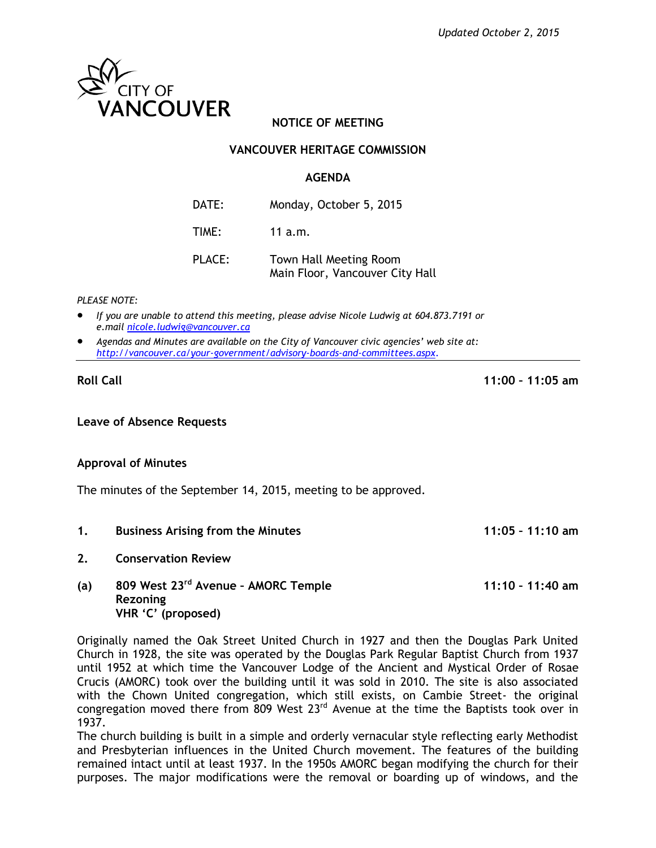

# **NOTICE OF MEETING**

# **VANCOUVER HERITAGE COMMISSION**

### **AGENDA**

| DATE:  | Monday, October 5, 2015 |
|--------|-------------------------|
| TIME:  | 11 $a.m.$               |
| PLACE: | Town Hall Meeting Room  |

Main Floor, Vancouver City Hall

#### *PLEASE NOTE:*

- *If you are unable to attend this meeting, please advise Nicole Ludwig at 604.873.7191 or e.mail [nicole.ludwig@vancouver.ca](mailto:nicole.ludwig@vancouver.ca)*
- *Agendas and Minutes are available on the City of Vancouver civic agencies' web site at: <http://vancouver.ca/your-government/advisory-boards-and-committees.aspx>*.

**Roll Call 11:00 – 11:05 am**

### **Leave of Absence Requests**

### **Approval of Minutes**

The minutes of the September 14, 2015, meeting to be approved.

- **1. Business Arising from the Minutes 11:05 – 11:10 am**
- **2. Conservation Review**

## **(a) 809 West 23rd Avenue – AMORC Temple 11:10 – 11:40 am Rezoning VHR 'C' (proposed)**

Originally named the Oak Street United Church in 1927 and then the Douglas Park United Church in 1928, the site was operated by the Douglas Park Regular Baptist Church from 1937 until 1952 at which time the Vancouver Lodge of the Ancient and Mystical Order of Rosae Crucis (AMORC) took over the building until it was sold in 2010. The site is also associated with the Chown United congregation, which still exists, on Cambie Street- the original congregation moved there from 809 West 23<sup>rd</sup> Avenue at the time the Baptists took over in 1937.

The church building is built in a simple and orderly vernacular style reflecting early Methodist and Presbyterian influences in the United Church movement. The features of the building remained intact until at least 1937. In the 1950s AMORC began modifying the church for their purposes. The major modifications were the removal or boarding up of windows, and the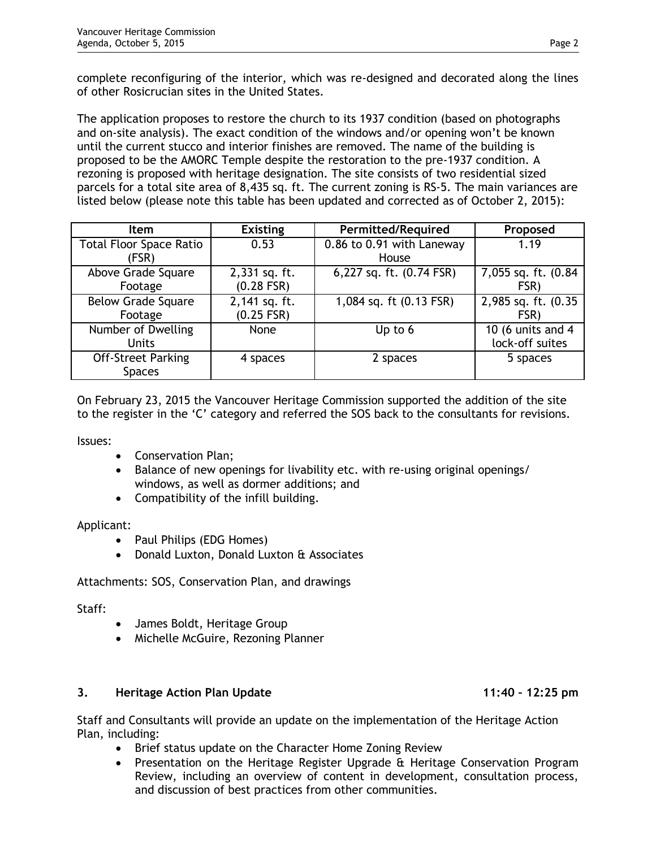complete reconfiguring of the interior, which was re-designed and decorated along the lines of other Rosicrucian sites in the United States.

The application proposes to restore the church to its 1937 condition (based on photographs and on-site analysis). The exact condition of the windows and/or opening won't be known until the current stucco and interior finishes are removed. The name of the building is proposed to be the AMORC Temple despite the restoration to the pre-1937 condition. A rezoning is proposed with heritage designation. The site consists of two residential sized parcels for a total site area of 8,435 sq. ft. The current zoning is RS-5. The main variances are listed below (please note this table has been updated and corrected as of October 2, 2015):

| <b>Item</b>                    | <b>Existing</b> | <b>Permitted/Required</b>            | Proposed             |
|--------------------------------|-----------------|--------------------------------------|----------------------|
| <b>Total Floor Space Ratio</b> | 0.53            | 0.86 to 0.91 with Laneway            | 1.19                 |
| (FSR)                          |                 | House                                |                      |
| Above Grade Square             | 2,331 sq. ft.   | 6,227 sq. ft. (0.74 FSR)             | 7,055 sq. ft. (0.84) |
| Footage                        | $(0.28$ FSR)    |                                      | FSR)                 |
| <b>Below Grade Square</b>      | 2,141 sq. ft.   | $\overline{1,084}$ sq. ft (0.13 FSR) | 2,985 sq. ft. (0.35  |
| Footage                        | $(0.25$ FSR)    |                                      | FSR)                 |
| Number of Dwelling             | None            | Up to 6                              | 10 (6 units and 4    |
| <b>Units</b>                   |                 |                                      | lock-off suites      |
| <b>Off-Street Parking</b>      | 4 spaces        | 2 spaces                             | 5 spaces             |
| <b>Spaces</b>                  |                 |                                      |                      |

On February 23, 2015 the Vancouver Heritage Commission supported the addition of the site to the register in the 'C' category and referred the SOS back to the consultants for revisions.

Issues:

- Conservation Plan:
- Balance of new openings for livability etc. with re-using original openings/ windows, as well as dormer additions; and
- Compatibility of the infill building.

### Applicant:

- Paul Philips (EDG Homes)
- Donald Luxton, Donald Luxton & Associates

Attachments: SOS, Conservation Plan, and drawings

Staff:

- James Boldt, Heritage Group
- Michelle McGuire, Rezoning Planner

### **3. Heritage Action Plan Update 11:40 – 12:25 pm**

Staff and Consultants will provide an update on the implementation of the Heritage Action Plan, including:

- Brief status update on the Character Home Zoning Review
- Presentation on the Heritage Register Upgrade & Heritage Conservation Program Review, including an overview of content in development, consultation process, and discussion of best practices from other communities.